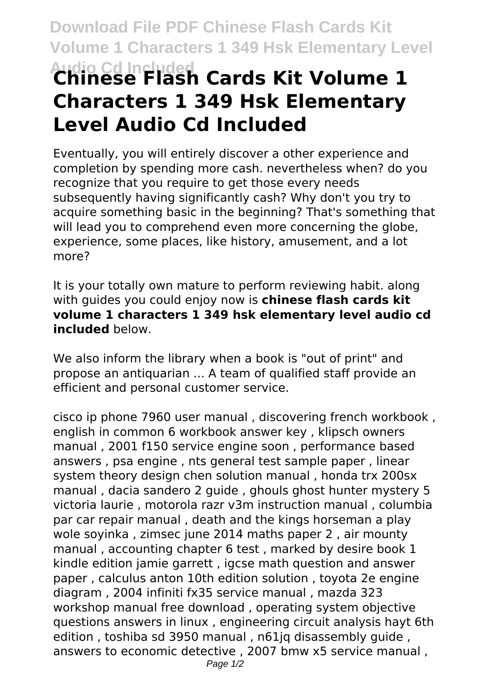**Download File PDF Chinese Flash Cards Kit Volume 1 Characters 1 349 Hsk Elementary Level**

## **Audio Cd Included Chinese Flash Cards Kit Volume 1 Characters 1 349 Hsk Elementary Level Audio Cd Included**

Eventually, you will entirely discover a other experience and completion by spending more cash. nevertheless when? do you recognize that you require to get those every needs subsequently having significantly cash? Why don't you try to acquire something basic in the beginning? That's something that will lead you to comprehend even more concerning the globe. experience, some places, like history, amusement, and a lot more?

It is your totally own mature to perform reviewing habit. along with guides you could enjoy now is **chinese flash cards kit volume 1 characters 1 349 hsk elementary level audio cd included** below.

We also inform the library when a book is "out of print" and propose an antiquarian ... A team of qualified staff provide an efficient and personal customer service.

cisco ip phone 7960 user manual , discovering french workbook , english in common 6 workbook answer key , klipsch owners manual , 2001 f150 service engine soon , performance based answers , psa engine , nts general test sample paper , linear system theory design chen solution manual , honda trx 200sx manual , dacia sandero 2 guide , ghouls ghost hunter mystery 5 victoria laurie , motorola razr v3m instruction manual , columbia par car repair manual , death and the kings horseman a play wole sovinka, zimsec june 2014 maths paper 2, air mounty manual , accounting chapter 6 test , marked by desire book 1 kindle edition jamie garrett , igcse math question and answer paper , calculus anton 10th edition solution , toyota 2e engine diagram , 2004 infiniti fx35 service manual , mazda 323 workshop manual free download , operating system objective questions answers in linux , engineering circuit analysis hayt 6th edition, toshiba sd 3950 manual, n61jq disassembly quide, answers to economic detective , 2007 bmw x5 service manual , Page  $1/2$